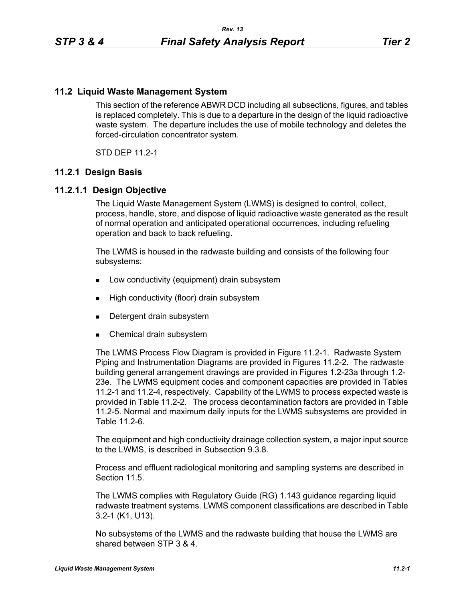# **11.2 Liquid Waste Management System**

This section of the reference ABWR DCD including all subsections, figures, and tables is replaced completely. This is due to a departure in the design of the liquid radioactive waste system. The departure includes the use of mobile technology and deletes the forced-circulation concentrator system.

STD DEP 11.2-1

### **11.2.1 Design Basis**

### **11.2.1.1 Design Objective**

The Liquid Waste Management System (LWMS) is designed to control, collect, process, handle, store, and dispose of liquid radioactive waste generated as the result of normal operation and anticipated operational occurrences, including refueling operation and back to back refueling.

The LWMS is housed in the radwaste building and consists of the following four subsystems:

- **Low conductivity (equipment) drain subsystem**
- **High conductivity (floor) drain subsystem**
- **Detergent drain subsystem**
- **Chemical drain subsystem**

The LWMS Process Flow Diagram is provided in Figure 11.2-1. Radwaste System Piping and Instrumentation Diagrams are provided in Figures 11.2-2. The radwaste building general arrangement drawings are provided in Figures 1.2-23a through 1.2- 23e. The LWMS equipment codes and component capacities are provided in Tables 11.2-1 and 11.2-4, respectively. Capability of the LWMS to process expected waste is provided in Table 11.2-2. The process decontamination factors are provided in Table 11.2-5. Normal and maximum daily inputs for the LWMS subsystems are provided in Table 11.2-6.

The equipment and high conductivity drainage collection system, a major input source to the LWMS, is described in Subsection 9.3.8.

Process and effluent radiological monitoring and sampling systems are described in Section 11.5

The LWMS complies with Regulatory Guide (RG) 1.143 guidance regarding liquid radwaste treatment systems. LWMS component classifications are described in Table 3.2-1 (K1, U13).

No subsystems of the LWMS and the radwaste building that house the LWMS are shared between STP 3 & 4.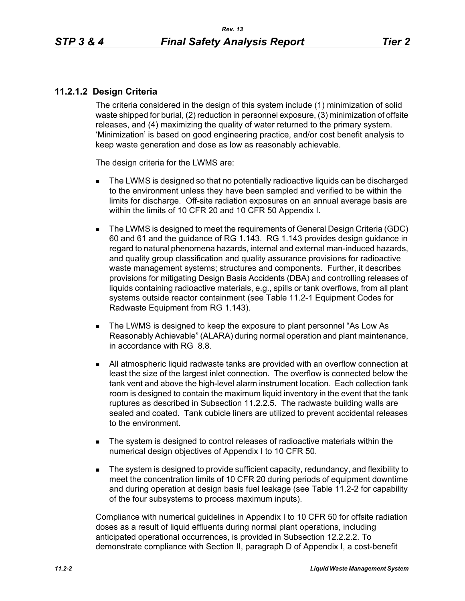# **11.2.1.2 Design Criteria**

The criteria considered in the design of this system include (1) minimization of solid waste shipped for burial, (2) reduction in personnel exposure, (3) minimization of offsite releases, and (4) maximizing the quality of water returned to the primary system. 'Minimization' is based on good engineering practice, and/or cost benefit analysis to keep waste generation and dose as low as reasonably achievable.

The design criteria for the LWMS are:

- The LWMS is designed so that no potentially radioactive liquids can be discharged to the environment unless they have been sampled and verified to be within the limits for discharge. Off-site radiation exposures on an annual average basis are within the limits of 10 CFR 20 and 10 CFR 50 Appendix I.
- The LWMS is designed to meet the requirements of General Design Criteria (GDC) 60 and 61 and the guidance of RG 1.143. RG 1.143 provides design guidance in regard to natural phenomena hazards, internal and external man-induced hazards, and quality group classification and quality assurance provisions for radioactive waste management systems; structures and components. Further, it describes provisions for mitigating Design Basis Accidents (DBA) and controlling releases of liquids containing radioactive materials, e.g., spills or tank overflows, from all plant systems outside reactor containment (see Table 11.2-1 Equipment Codes for Radwaste Equipment from RG 1.143).
- The LWMS is designed to keep the exposure to plant personnel "As Low As Reasonably Achievable" (ALARA) during normal operation and plant maintenance, in accordance with RG 8.8.
- All atmospheric liquid radwaste tanks are provided with an overflow connection at least the size of the largest inlet connection. The overflow is connected below the tank vent and above the high-level alarm instrument location. Each collection tank room is designed to contain the maximum liquid inventory in the event that the tank ruptures as described in Subsection 11.2.2.5. The radwaste building walls are sealed and coated. Tank cubicle liners are utilized to prevent accidental releases to the environment.
- The system is designed to control releases of radioactive materials within the numerical design objectives of Appendix I to 10 CFR 50.
- The system is designed to provide sufficient capacity, redundancy, and flexibility to meet the concentration limits of 10 CFR 20 during periods of equipment downtime and during operation at design basis fuel leakage (see Table 11.2-2 for capability of the four subsystems to process maximum inputs).

Compliance with numerical guidelines in Appendix I to 10 CFR 50 for offsite radiation doses as a result of liquid effluents during normal plant operations, including anticipated operational occurrences, is provided in Subsection 12.2.2.2. To demonstrate compliance with Section II, paragraph D of Appendix I, a cost-benefit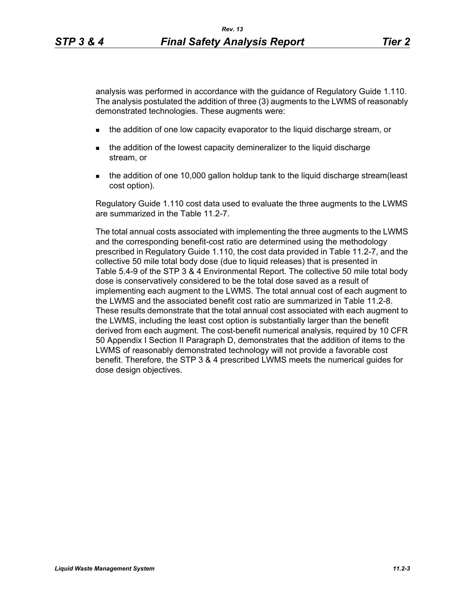analysis was performed in accordance with the guidance of Regulatory Guide 1.110. The analysis postulated the addition of three (3) augments to the LWMS of reasonably demonstrated technologies. These augments were:

- **the addition of one low capacity evaporator to the liquid discharge stream, or**
- **the addition of the lowest capacity demineralizer to the liquid discharge** stream, or
- the addition of one 10,000 gallon holdup tank to the liquid discharge stream(least cost option).

Regulatory Guide 1.110 cost data used to evaluate the three augments to the LWMS are summarized in the Table 11.2-7.

The total annual costs associated with implementing the three augments to the LWMS and the corresponding benefit-cost ratio are determined using the methodology prescribed in Regulatory Guide 1.110, the cost data provided in Table 11.2-7, and the collective 50 mile total body dose (due to liquid releases) that is presented in Table 5.4-9 of the STP 3 & 4 Environmental Report. The collective 50 mile total body dose is conservatively considered to be the total dose saved as a result of implementing each augment to the LWMS. The total annual cost of each augment to the LWMS and the associated benefit cost ratio are summarized in Table 11.2-8. These results demonstrate that the total annual cost associated with each augment to the LWMS, including the least cost option is substantially larger than the benefit derived from each augment. The cost-benefit numerical analysis, required by 10 CFR 50 Appendix I Section II Paragraph D, demonstrates that the addition of items to the LWMS of reasonably demonstrated technology will not provide a favorable cost benefit. Therefore, the STP 3 & 4 prescribed LWMS meets the numerical guides for dose design objectives.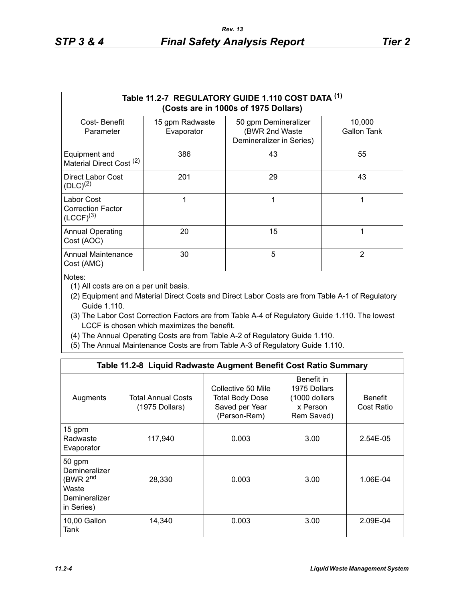|                                                          | Table 11.2-7 REGULATORY GUIDE 1.110 COST DATA (1)<br>(Costs are in 1000s of 1975 Dollars) |                                                                    |                       |  |  |  |  |  |  |  |  |
|----------------------------------------------------------|-------------------------------------------------------------------------------------------|--------------------------------------------------------------------|-----------------------|--|--|--|--|--|--|--|--|
| Cost-Benefit<br>Parameter                                | 15 gpm Radwaste<br>Evaporator                                                             | 50 gpm Demineralizer<br>(BWR 2nd Waste<br>Demineralizer in Series) | 10,000<br>Gallon Tank |  |  |  |  |  |  |  |  |
| Equipment and<br>Material Direct Cost <sup>(2)</sup>     | 386                                                                                       | 43                                                                 | 55                    |  |  |  |  |  |  |  |  |
| Direct Labor Cost<br>$(DLC)^{(2)}$                       | 201                                                                                       | 29                                                                 | 43                    |  |  |  |  |  |  |  |  |
| Labor Cost<br><b>Correction Factor</b><br>$(LCCF)^{(3)}$ |                                                                                           | 1                                                                  | 1                     |  |  |  |  |  |  |  |  |
| <b>Annual Operating</b><br>Cost (AOC)                    | 20                                                                                        | 15                                                                 | 1                     |  |  |  |  |  |  |  |  |
| <b>Annual Maintenance</b><br>Cost (AMC)                  | 30                                                                                        | 5                                                                  | 2                     |  |  |  |  |  |  |  |  |

Notes:

(1) All costs are on a per unit basis.

- (2) Equipment and Material Direct Costs and Direct Labor Costs are from Table A-1 of Regulatory Guide 1.110.
- (3) The Labor Cost Correction Factors are from Table A-4 of Regulatory Guide 1.110. The lowest LCCF is chosen which maximizes the benefit.
- (4) The Annual Operating Costs are from Table A-2 of Regulatory Guide 1.110.
- (5) The Annual Maintenance Costs are from Table A-3 of Regulatory Guide 1.110.

|                                                                                         | Table 11.2-8 Liquid Radwaste Augment Benefit Cost Ratio Summary |                                                                                |                                                                        |                              |
|-----------------------------------------------------------------------------------------|-----------------------------------------------------------------|--------------------------------------------------------------------------------|------------------------------------------------------------------------|------------------------------|
| Augments                                                                                | <b>Total Annual Costs</b><br>(1975 Dollars)                     | Collective 50 Mile<br><b>Total Body Dose</b><br>Saved per Year<br>(Person-Rem) | Benefit in<br>1975 Dollars<br>(1000 dollars)<br>x Person<br>Rem Saved) | <b>Benefit</b><br>Cost Ratio |
| 15 gpm<br>Radwaste<br>Evaporator                                                        | 117,940                                                         | 0.003                                                                          | 3.00                                                                   | 2.54E-05                     |
| 50 gpm<br>Demineralizer<br>(BWR 2 <sup>nd</sup><br>Waste<br>Demineralizer<br>in Series) | 28,330                                                          | 0.003                                                                          | 3.00                                                                   | 1.06E-04                     |
| 10,00 Gallon<br>Tank                                                                    | 14,340                                                          | 0.003                                                                          | 3.00                                                                   | 2.09E-04                     |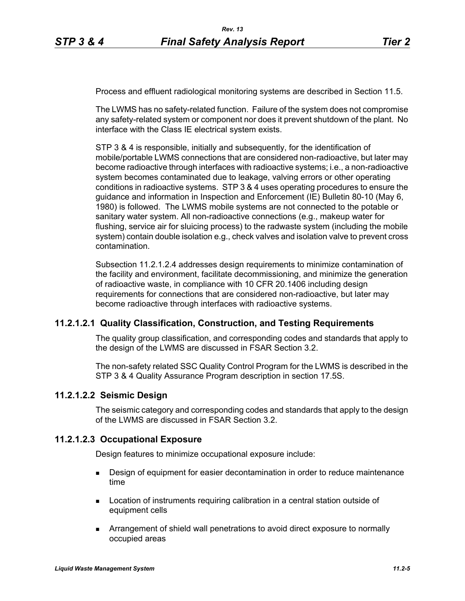Process and effluent radiological monitoring systems are described in Section 11.5.

The LWMS has no safety-related function. Failure of the system does not compromise any safety-related system or component nor does it prevent shutdown of the plant. No interface with the Class IE electrical system exists.

STP 3 & 4 is responsible, initially and subsequently, for the identification of mobile/portable LWMS connections that are considered non-radioactive, but later may become radioactive through interfaces with radioactive systems; i.e., a non-radioactive system becomes contaminated due to leakage, valving errors or other operating conditions in radioactive systems. STP 3 & 4 uses operating procedures to ensure the guidance and information in Inspection and Enforcement (IE) Bulletin 80-10 (May 6, 1980) is followed. The LWMS mobile systems are not connected to the potable or sanitary water system. All non-radioactive connections (e.g., makeup water for flushing, service air for sluicing process) to the radwaste system (including the mobile system) contain double isolation e.g., check valves and isolation valve to prevent cross contamination.

Subsection 11.2.1.2.4 addresses design requirements to minimize contamination of the facility and environment, facilitate decommissioning, and minimize the generation of radioactive waste, in compliance with 10 CFR 20.1406 including design requirements for connections that are considered non-radioactive, but later may become radioactive through interfaces with radioactive systems.

### **11.2.1.2.1 Quality Classification, Construction, and Testing Requirements**

The quality group classification, and corresponding codes and standards that apply to the design of the LWMS are discussed in FSAR Section 3.2.

The non-safety related SSC Quality Control Program for the LWMS is described in the STP 3 & 4 Quality Assurance Program description in section 17.5S.

### **11.2.1.2.2 Seismic Design**

The seismic category and corresponding codes and standards that apply to the design of the LWMS are discussed in FSAR Section 3.2.

### **11.2.1.2.3 Occupational Exposure**

Design features to minimize occupational exposure include:

- **Design of equipment for easier decontamination in order to reduce maintenance** time
- **Location of instruments requiring calibration in a central station outside of** equipment cells
- Arrangement of shield wall penetrations to avoid direct exposure to normally occupied areas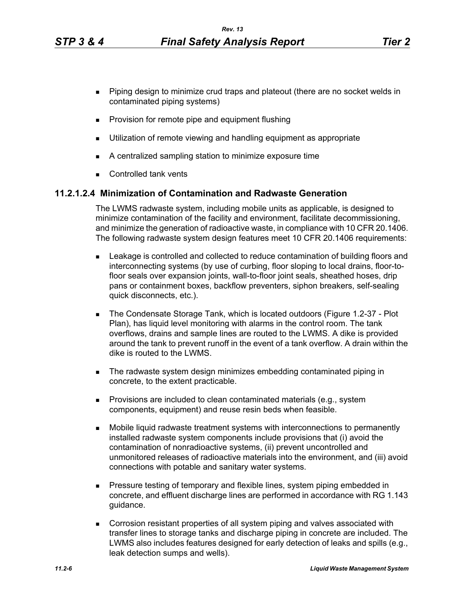- **Piping design to minimize crud traps and plateout (there are no socket welds in** contaminated piping systems)
- **Provision for remote pipe and equipment flushing**
- **Utilization of remote viewing and handling equipment as appropriate**
- A centralized sampling station to minimize exposure time
- Controlled tank vents

### **11.2.1.2.4 Minimization of Contamination and Radwaste Generation**

The LWMS radwaste system, including mobile units as applicable, is designed to minimize contamination of the facility and environment, facilitate decommissioning, and minimize the generation of radioactive waste, in compliance with 10 CFR 20.1406. The following radwaste system design features meet 10 CFR 20.1406 requirements:

- **Example 1** Leakage is controlled and collected to reduce contamination of building floors and interconnecting systems (by use of curbing, floor sloping to local drains, floor-tofloor seals over expansion joints, wall-to-floor joint seals, sheathed hoses, drip pans or containment boxes, backflow preventers, siphon breakers, self-sealing quick disconnects, etc.).
- The Condensate Storage Tank, which is located outdoors (Figure 1.2-37 Plot Plan), has liquid level monitoring with alarms in the control room. The tank overflows, drains and sample lines are routed to the LWMS. A dike is provided around the tank to prevent runoff in the event of a tank overflow. A drain within the dike is routed to the LWMS.
- The radwaste system design minimizes embedding contaminated piping in concrete, to the extent practicable.
- **Provisions are included to clean contaminated materials (e.g., system** components, equipment) and reuse resin beds when feasible.
- Mobile liquid radwaste treatment systems with interconnections to permanently installed radwaste system components include provisions that (i) avoid the contamination of nonradioactive systems, (ii) prevent uncontrolled and unmonitored releases of radioactive materials into the environment, and (iii) avoid connections with potable and sanitary water systems.
- **Pressure testing of temporary and flexible lines, system piping embedded in** concrete, and effluent discharge lines are performed in accordance with RG 1.143 guidance.
- Corrosion resistant properties of all system piping and valves associated with transfer lines to storage tanks and discharge piping in concrete are included. The LWMS also includes features designed for early detection of leaks and spills (e.g., leak detection sumps and wells).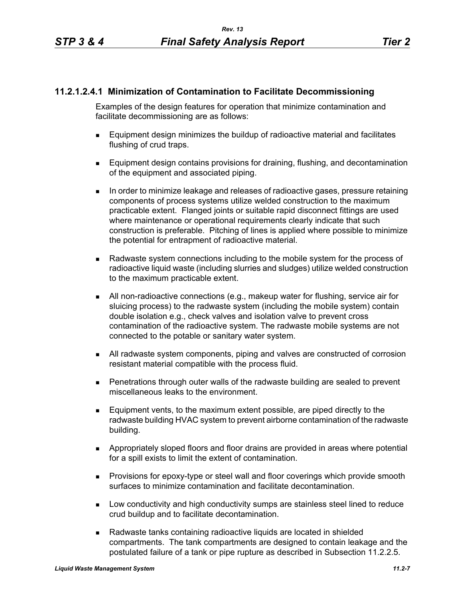# **11.2.1.2.4.1 Minimization of Contamination to Facilitate Decommissioning**

Examples of the design features for operation that minimize contamination and facilitate decommissioning are as follows:

- Equipment design minimizes the buildup of radioactive material and facilitates flushing of crud traps.
- **Equipment design contains provisions for draining, flushing, and decontamination** of the equipment and associated piping.
- In order to minimize leakage and releases of radioactive gases, pressure retaining components of process systems utilize welded construction to the maximum practicable extent. Flanged joints or suitable rapid disconnect fittings are used where maintenance or operational requirements clearly indicate that such construction is preferable. Pitching of lines is applied where possible to minimize the potential for entrapment of radioactive material.
- **Radwaste system connections including to the mobile system for the process of** radioactive liquid waste (including slurries and sludges) utilize welded construction to the maximum practicable extent.
- All non-radioactive connections (e.g., makeup water for flushing, service air for sluicing process) to the radwaste system (including the mobile system) contain double isolation e.g., check valves and isolation valve to prevent cross contamination of the radioactive system. The radwaste mobile systems are not connected to the potable or sanitary water system.
- All radwaste system components, piping and valves are constructed of corrosion resistant material compatible with the process fluid.
- Penetrations through outer walls of the radwaste building are sealed to prevent miscellaneous leaks to the environment.
- Equipment vents, to the maximum extent possible, are piped directly to the radwaste building HVAC system to prevent airborne contamination of the radwaste building.
- Appropriately sloped floors and floor drains are provided in areas where potential for a spill exists to limit the extent of contamination.
- **Provisions for epoxy-type or steel wall and floor coverings which provide smooth** surfaces to minimize contamination and facilitate decontamination.
- **Low conductivity and high conductivity sumps are stainless steel lined to reduce** crud buildup and to facilitate decontamination.
- Radwaste tanks containing radioactive liquids are located in shielded compartments. The tank compartments are designed to contain leakage and the postulated failure of a tank or pipe rupture as described in Subsection 11.2.2.5.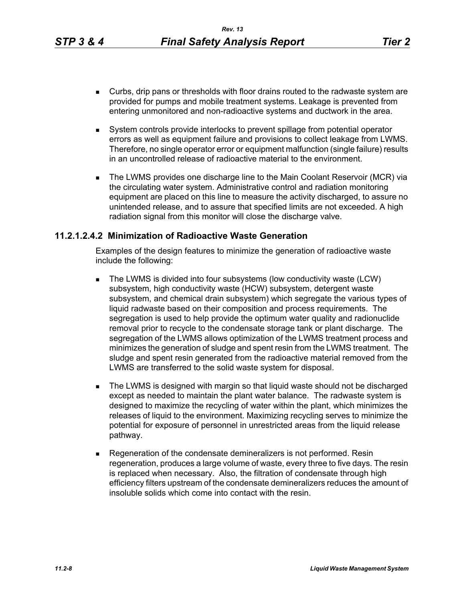- Curbs, drip pans or thresholds with floor drains routed to the radwaste system are provided for pumps and mobile treatment systems. Leakage is prevented from entering unmonitored and non-radioactive systems and ductwork in the area.
- System controls provide interlocks to prevent spillage from potential operator errors as well as equipment failure and provisions to collect leakage from LWMS. Therefore, no single operator error or equipment malfunction (single failure) results in an uncontrolled release of radioactive material to the environment.
- The LWMS provides one discharge line to the Main Coolant Reservoir (MCR) via the circulating water system. Administrative control and radiation monitoring equipment are placed on this line to measure the activity discharged, to assure no unintended release, and to assure that specified limits are not exceeded. A high radiation signal from this monitor will close the discharge valve.

### **11.2.1.2.4.2 Minimization of Radioactive Waste Generation**

Examples of the design features to minimize the generation of radioactive waste include the following:

- The LWMS is divided into four subsystems (low conductivity waste (LCW) subsystem, high conductivity waste (HCW) subsystem, detergent waste subsystem, and chemical drain subsystem) which segregate the various types of liquid radwaste based on their composition and process requirements. The segregation is used to help provide the optimum water quality and radionuclide removal prior to recycle to the condensate storage tank or plant discharge. The segregation of the LWMS allows optimization of the LWMS treatment process and minimizes the generation of sludge and spent resin from the LWMS treatment. The sludge and spent resin generated from the radioactive material removed from the LWMS are transferred to the solid waste system for disposal.
- **The LWMS is designed with margin so that liquid waste should not be discharged** except as needed to maintain the plant water balance. The radwaste system is designed to maximize the recycling of water within the plant, which minimizes the releases of liquid to the environment. Maximizing recycling serves to minimize the potential for exposure of personnel in unrestricted areas from the liquid release pathway.
- Regeneration of the condensate demineralizers is not performed. Resin regeneration, produces a large volume of waste, every three to five days. The resin is replaced when necessary. Also, the filtration of condensate through high efficiency filters upstream of the condensate demineralizers reduces the amount of insoluble solids which come into contact with the resin.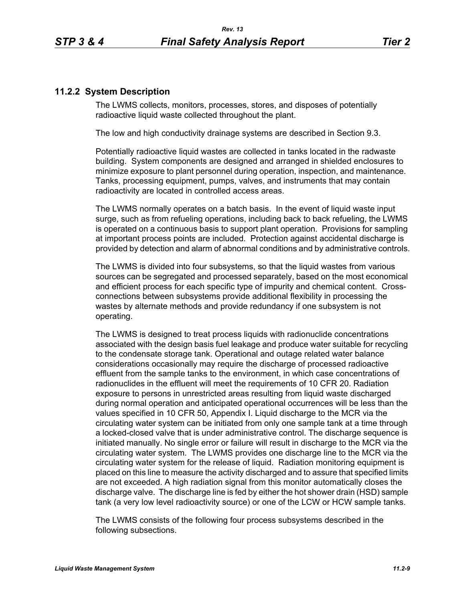# **11.2.2 System Description**

The LWMS collects, monitors, processes, stores, and disposes of potentially radioactive liquid waste collected throughout the plant.

The low and high conductivity drainage systems are described in Section 9.3.

Potentially radioactive liquid wastes are collected in tanks located in the radwaste building. System components are designed and arranged in shielded enclosures to minimize exposure to plant personnel during operation, inspection, and maintenance. Tanks, processing equipment, pumps, valves, and instruments that may contain radioactivity are located in controlled access areas.

The LWMS normally operates on a batch basis. In the event of liquid waste input surge, such as from refueling operations, including back to back refueling, the LWMS is operated on a continuous basis to support plant operation. Provisions for sampling at important process points are included. Protection against accidental discharge is provided by detection and alarm of abnormal conditions and by administrative controls.

The LWMS is divided into four subsystems, so that the liquid wastes from various sources can be segregated and processed separately, based on the most economical and efficient process for each specific type of impurity and chemical content. Crossconnections between subsystems provide additional flexibility in processing the wastes by alternate methods and provide redundancy if one subsystem is not operating.

The LWMS is designed to treat process liquids with radionuclide concentrations associated with the design basis fuel leakage and produce water suitable for recycling to the condensate storage tank. Operational and outage related water balance considerations occasionally may require the discharge of processed radioactive effluent from the sample tanks to the environment, in which case concentrations of radionuclides in the effluent will meet the requirements of 10 CFR 20. Radiation exposure to persons in unrestricted areas resulting from liquid waste discharged during normal operation and anticipated operational occurrences will be less than the values specified in 10 CFR 50, Appendix I. Liquid discharge to the MCR via the circulating water system can be initiated from only one sample tank at a time through a locked-closed valve that is under administrative control. The discharge sequence is initiated manually. No single error or failure will result in discharge to the MCR via the circulating water system. The LWMS provides one discharge line to the MCR via the circulating water system for the release of liquid. Radiation monitoring equipment is placed on this line to measure the activity discharged and to assure that specified limits are not exceeded. A high radiation signal from this monitor automatically closes the discharge valve. The discharge line is fed by either the hot shower drain (HSD) sample tank (a very low level radioactivity source) or one of the LCW or HCW sample tanks.

The LWMS consists of the following four process subsystems described in the following subsections.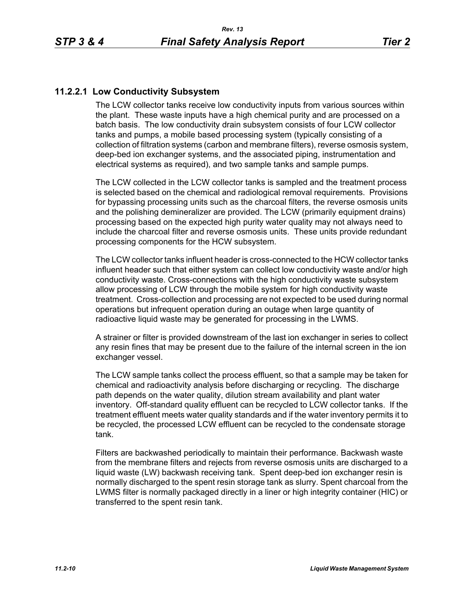# **11.2.2.1 Low Conductivity Subsystem**

The LCW collector tanks receive low conductivity inputs from various sources within the plant. These waste inputs have a high chemical purity and are processed on a batch basis. The low conductivity drain subsystem consists of four LCW collector tanks and pumps, a mobile based processing system (typically consisting of a collection of filtration systems (carbon and membrane filters), reverse osmosis system, deep-bed ion exchanger systems, and the associated piping, instrumentation and electrical systems as required), and two sample tanks and sample pumps.

The LCW collected in the LCW collector tanks is sampled and the treatment process is selected based on the chemical and radiological removal requirements. Provisions for bypassing processing units such as the charcoal filters, the reverse osmosis units and the polishing demineralizer are provided. The LCW (primarily equipment drains) processing based on the expected high purity water quality may not always need to include the charcoal filter and reverse osmosis units. These units provide redundant processing components for the HCW subsystem.

The LCW collector tanks influent header is cross-connected to the HCW collector tanks influent header such that either system can collect low conductivity waste and/or high conductivity waste. Cross-connections with the high conductivity waste subsystem allow processing of LCW through the mobile system for high conductivity waste treatment. Cross-collection and processing are not expected to be used during normal operations but infrequent operation during an outage when large quantity of radioactive liquid waste may be generated for processing in the LWMS.

A strainer or filter is provided downstream of the last ion exchanger in series to collect any resin fines that may be present due to the failure of the internal screen in the ion exchanger vessel.

The LCW sample tanks collect the process effluent, so that a sample may be taken for chemical and radioactivity analysis before discharging or recycling. The discharge path depends on the water quality, dilution stream availability and plant water inventory. Off-standard quality effluent can be recycled to LCW collector tanks. If the treatment effluent meets water quality standards and if the water inventory permits it to be recycled, the processed LCW effluent can be recycled to the condensate storage tank.

Filters are backwashed periodically to maintain their performance. Backwash waste from the membrane filters and rejects from reverse osmosis units are discharged to a liquid waste (LW) backwash receiving tank. Spent deep-bed ion exchanger resin is normally discharged to the spent resin storage tank as slurry. Spent charcoal from the LWMS filter is normally packaged directly in a liner or high integrity container (HIC) or transferred to the spent resin tank.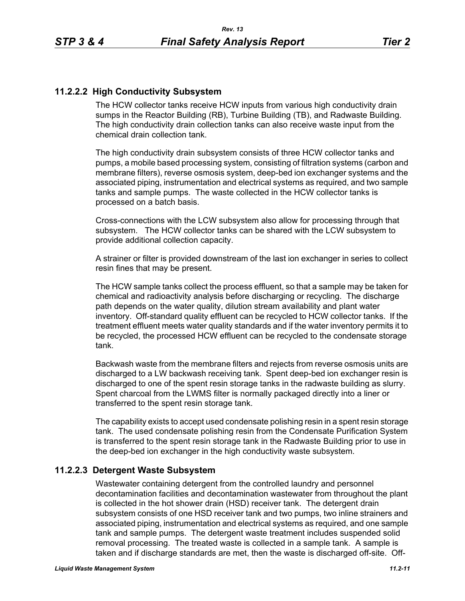# **11.2.2.2 High Conductivity Subsystem**

The HCW collector tanks receive HCW inputs from various high conductivity drain sumps in the Reactor Building (RB), Turbine Building (TB), and Radwaste Building. The high conductivity drain collection tanks can also receive waste input from the chemical drain collection tank.

The high conductivity drain subsystem consists of three HCW collector tanks and pumps, a mobile based processing system, consisting of filtration systems (carbon and membrane filters), reverse osmosis system, deep-bed ion exchanger systems and the associated piping, instrumentation and electrical systems as required, and two sample tanks and sample pumps. The waste collected in the HCW collector tanks is processed on a batch basis.

Cross-connections with the LCW subsystem also allow for processing through that subsystem. The HCW collector tanks can be shared with the LCW subsystem to provide additional collection capacity.

A strainer or filter is provided downstream of the last ion exchanger in series to collect resin fines that may be present.

The HCW sample tanks collect the process effluent, so that a sample may be taken for chemical and radioactivity analysis before discharging or recycling. The discharge path depends on the water quality, dilution stream availability and plant water inventory. Off-standard quality effluent can be recycled to HCW collector tanks. If the treatment effluent meets water quality standards and if the water inventory permits it to be recycled, the processed HCW effluent can be recycled to the condensate storage tank.

Backwash waste from the membrane filters and rejects from reverse osmosis units are discharged to a LW backwash receiving tank. Spent deep-bed ion exchanger resin is discharged to one of the spent resin storage tanks in the radwaste building as slurry. Spent charcoal from the LWMS filter is normally packaged directly into a liner or transferred to the spent resin storage tank.

The capability exists to accept used condensate polishing resin in a spent resin storage tank. The used condensate polishing resin from the Condensate Purification System is transferred to the spent resin storage tank in the Radwaste Building prior to use in the deep-bed ion exchanger in the high conductivity waste subsystem.

### **11.2.2.3 Detergent Waste Subsystem**

Wastewater containing detergent from the controlled laundry and personnel decontamination facilities and decontamination wastewater from throughout the plant is collected in the hot shower drain (HSD) receiver tank. The detergent drain subsystem consists of one HSD receiver tank and two pumps, two inline strainers and associated piping, instrumentation and electrical systems as required, and one sample tank and sample pumps. The detergent waste treatment includes suspended solid removal processing. The treated waste is collected in a sample tank. A sample is taken and if discharge standards are met, then the waste is discharged off-site. Off-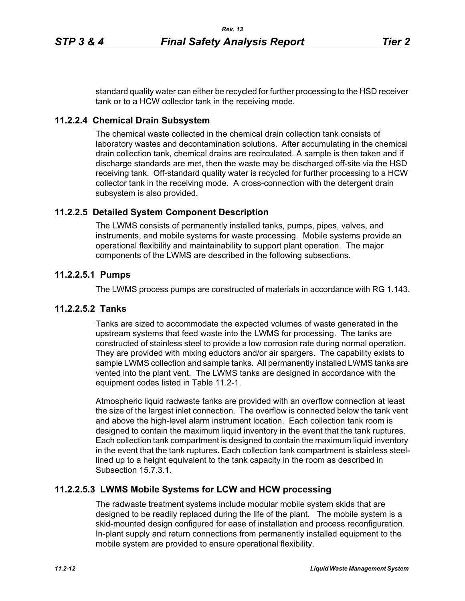standard quality water can either be recycled for further processing to the HSD receiver tank or to a HCW collector tank in the receiving mode.

# **11.2.2.4 Chemical Drain Subsystem**

The chemical waste collected in the chemical drain collection tank consists of laboratory wastes and decontamination solutions. After accumulating in the chemical drain collection tank, chemical drains are recirculated. A sample is then taken and if discharge standards are met, then the waste may be discharged off-site via the HSD receiving tank. Off-standard quality water is recycled for further processing to a HCW collector tank in the receiving mode. A cross-connection with the detergent drain subsystem is also provided.

# **11.2.2.5 Detailed System Component Description**

The LWMS consists of permanently installed tanks, pumps, pipes, valves, and instruments, and mobile systems for waste processing. Mobile systems provide an operational flexibility and maintainability to support plant operation. The major components of the LWMS are described in the following subsections.

# **11.2.2.5.1 Pumps**

The LWMS process pumps are constructed of materials in accordance with RG 1.143.

### **11.2.2.5.2 Tanks**

Tanks are sized to accommodate the expected volumes of waste generated in the upstream systems that feed waste into the LWMS for processing. The tanks are constructed of stainless steel to provide a low corrosion rate during normal operation. They are provided with mixing eductors and/or air spargers. The capability exists to sample LWMS collection and sample tanks. All permanently installed LWMS tanks are vented into the plant vent. The LWMS tanks are designed in accordance with the equipment codes listed in Table 11.2-1.

Atmospheric liquid radwaste tanks are provided with an overflow connection at least the size of the largest inlet connection. The overflow is connected below the tank vent and above the high-level alarm instrument location. Each collection tank room is designed to contain the maximum liquid inventory in the event that the tank ruptures. Each collection tank compartment is designed to contain the maximum liquid inventory in the event that the tank ruptures. Each collection tank compartment is stainless steellined up to a height equivalent to the tank capacity in the room as described in Subsection 15.7.3.1.

### **11.2.2.5.3 LWMS Mobile Systems for LCW and HCW processing**

The radwaste treatment systems include modular mobile system skids that are designed to be readily replaced during the life of the plant. The mobile system is a skid-mounted design configured for ease of installation and process reconfiguration. In-plant supply and return connections from permanently installed equipment to the mobile system are provided to ensure operational flexibility.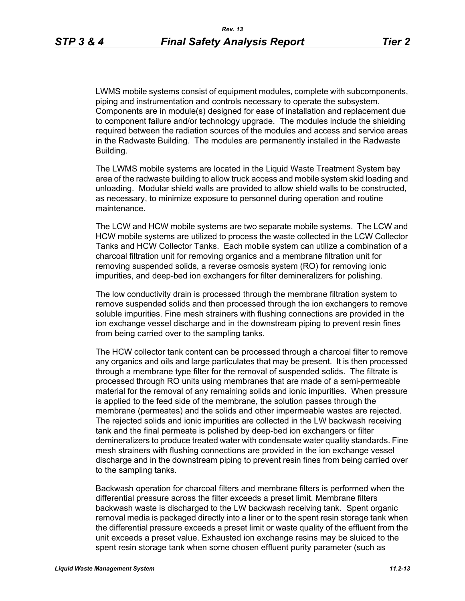LWMS mobile systems consist of equipment modules, complete with subcomponents, piping and instrumentation and controls necessary to operate the subsystem. Components are in module(s) designed for ease of installation and replacement due to component failure and/or technology upgrade. The modules include the shielding required between the radiation sources of the modules and access and service areas in the Radwaste Building. The modules are permanently installed in the Radwaste Building.

The LWMS mobile systems are located in the Liquid Waste Treatment System bay area of the radwaste building to allow truck access and mobile system skid loading and unloading. Modular shield walls are provided to allow shield walls to be constructed, as necessary, to minimize exposure to personnel during operation and routine maintenance.

The LCW and HCW mobile systems are two separate mobile systems. The LCW and HCW mobile systems are utilized to process the waste collected in the LCW Collector Tanks and HCW Collector Tanks. Each mobile system can utilize a combination of a charcoal filtration unit for removing organics and a membrane filtration unit for removing suspended solids, a reverse osmosis system (RO) for removing ionic impurities, and deep-bed ion exchangers for filter demineralizers for polishing.

The low conductivity drain is processed through the membrane filtration system to remove suspended solids and then processed through the ion exchangers to remove soluble impurities. Fine mesh strainers with flushing connections are provided in the ion exchange vessel discharge and in the downstream piping to prevent resin fines from being carried over to the sampling tanks.

The HCW collector tank content can be processed through a charcoal filter to remove any organics and oils and large particulates that may be present. It is then processed through a membrane type filter for the removal of suspended solids. The filtrate is processed through RO units using membranes that are made of a semi-permeable material for the removal of any remaining solids and ionic impurities. When pressure is applied to the feed side of the membrane, the solution passes through the membrane (permeates) and the solids and other impermeable wastes are rejected. The rejected solids and ionic impurities are collected in the LW backwash receiving tank and the final permeate is polished by deep-bed ion exchangers or filter demineralizers to produce treated water with condensate water quality standards. Fine mesh strainers with flushing connections are provided in the ion exchange vessel discharge and in the downstream piping to prevent resin fines from being carried over to the sampling tanks.

Backwash operation for charcoal filters and membrane filters is performed when the differential pressure across the filter exceeds a preset limit. Membrane filters backwash waste is discharged to the LW backwash receiving tank. Spent organic removal media is packaged directly into a liner or to the spent resin storage tank when the differential pressure exceeds a preset limit or waste quality of the effluent from the unit exceeds a preset value. Exhausted ion exchange resins may be sluiced to the spent resin storage tank when some chosen effluent purity parameter (such as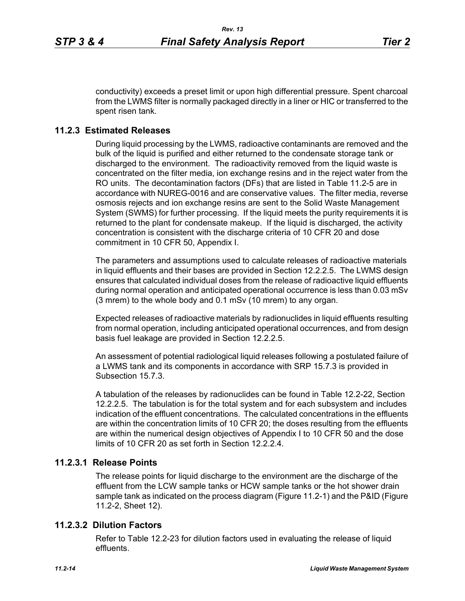conductivity) exceeds a preset limit or upon high differential pressure. Spent charcoal from the LWMS filter is normally packaged directly in a liner or HIC or transferred to the spent risen tank.

# **11.2.3 Estimated Releases**

During liquid processing by the LWMS, radioactive contaminants are removed and the bulk of the liquid is purified and either returned to the condensate storage tank or discharged to the environment. The radioactivity removed from the liquid waste is concentrated on the filter media, ion exchange resins and in the reject water from the RO units. The decontamination factors (DFs) that are listed in Table 11.2-5 are in accordance with NUREG-0016 and are conservative values. The filter media, reverse osmosis rejects and ion exchange resins are sent to the Solid Waste Management System (SWMS) for further processing. If the liquid meets the purity requirements it is returned to the plant for condensate makeup. If the liquid is discharged, the activity concentration is consistent with the discharge criteria of 10 CFR 20 and dose commitment in 10 CFR 50, Appendix I.

The parameters and assumptions used to calculate releases of radioactive materials in liquid effluents and their bases are provided in Section 12.2.2.5. The LWMS design ensures that calculated individual doses from the release of radioactive liquid effluents during normal operation and anticipated operational occurrence is less than 0.03 mSv (3 mrem) to the whole body and 0.1 mSv (10 mrem) to any organ.

Expected releases of radioactive materials by radionuclides in liquid effluents resulting from normal operation, including anticipated operational occurrences, and from design basis fuel leakage are provided in Section 12.2.2.5.

An assessment of potential radiological liquid releases following a postulated failure of a LWMS tank and its components in accordance with SRP 15.7.3 is provided in Subsection 15.7.3.

A tabulation of the releases by radionuclides can be found in Table 12.2-22, Section 12.2.2.5. The tabulation is for the total system and for each subsystem and includes indication of the effluent concentrations. The calculated concentrations in the effluents are within the concentration limits of 10 CFR 20; the doses resulting from the effluents are within the numerical design objectives of Appendix I to 10 CFR 50 and the dose limits of 10 CFR 20 as set forth in Section 12.2.2.4

### **11.2.3.1 Release Points**

The release points for liquid discharge to the environment are the discharge of the effluent from the LCW sample tanks or HCW sample tanks or the hot shower drain sample tank as indicated on the process diagram (Figure 11.2-1) and the P&ID (Figure 11.2-2, Sheet 12).

### **11.2.3.2 Dilution Factors**

Refer to Table 12.2-23 for dilution factors used in evaluating the release of liquid effluents.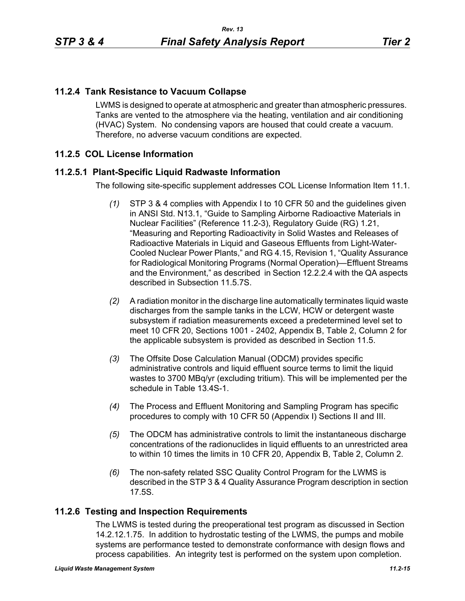# **11.2.4 Tank Resistance to Vacuum Collapse**

LWMS is designed to operate at atmospheric and greater than atmospheric pressures. Tanks are vented to the atmosphere via the heating, ventilation and air conditioning (HVAC) System. No condensing vapors are housed that could create a vacuum. Therefore, no adverse vacuum conditions are expected.

# **11.2.5 COL License Information**

### **11.2.5.1 Plant-Specific Liquid Radwaste Information**

The following site-specific supplement addresses COL License Information Item 11.1.

- *(1)* STP 3 & 4 complies with Appendix I to 10 CFR 50 and the guidelines given in ANSI Std. N13.1, "Guide to Sampling Airborne Radioactive Materials in Nuclear Facilities" (Reference 11.2-3), Regulatory Guide (RG) 1.21, "Measuring and Reporting Radioactivity in Solid Wastes and Releases of Radioactive Materials in Liquid and Gaseous Effluents from Light-Water-Cooled Nuclear Power Plants," and RG 4.15, Revision 1, "Quality Assurance for Radiological Monitoring Programs (Normal Operation)—Effluent Streams and the Environment," as described in Section 12.2.2.4 with the QA aspects described in Subsection 11.5.7S.
- *(2)* A radiation monitor in the discharge line automatically terminates liquid waste discharges from the sample tanks in the LCW, HCW or detergent waste subsystem if radiation measurements exceed a predetermined level set to meet 10 CFR 20, Sections 1001 - 2402, Appendix B, Table 2, Column 2 for the applicable subsystem is provided as described in Section 11.5.
- *(3)* The Offsite Dose Calculation Manual (ODCM) provides specific administrative controls and liquid effluent source terms to limit the liquid wastes to 3700 MBq/yr (excluding tritium). This will be implemented per the schedule in Table 13.4S-1.
- *(4)* The Process and Effluent Monitoring and Sampling Program has specific procedures to comply with 10 CFR 50 (Appendix I) Sections II and III.
- *(5)* The ODCM has administrative controls to limit the instantaneous discharge concentrations of the radionuclides in liquid effluents to an unrestricted area to within 10 times the limits in 10 CFR 20, Appendix B, Table 2, Column 2.
- *(6)* The non-safety related SSC Quality Control Program for the LWMS is described in the STP 3 & 4 Quality Assurance Program description in section 17.5S.

### **11.2.6 Testing and Inspection Requirements**

The LWMS is tested during the preoperational test program as discussed in Section 14.2.12.1.75. In addition to hydrostatic testing of the LWMS, the pumps and mobile systems are performance tested to demonstrate conformance with design flows and process capabilities. An integrity test is performed on the system upon completion.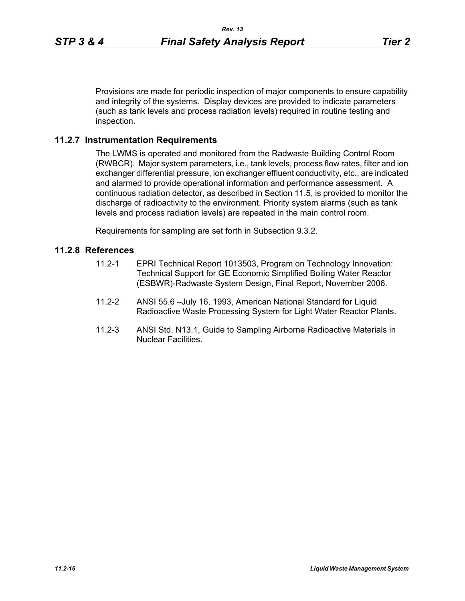Provisions are made for periodic inspection of major components to ensure capability and integrity of the systems. Display devices are provided to indicate parameters (such as tank levels and process radiation levels) required in routine testing and inspection.

## **11.2.7 Instrumentation Requirements**

The LWMS is operated and monitored from the Radwaste Building Control Room (RWBCR). Major system parameters, i.e., tank levels, process flow rates, filter and ion exchanger differential pressure, ion exchanger effluent conductivity, etc., are indicated and alarmed to provide operational information and performance assessment. A continuous radiation detector, as described in Section 11.5, is provided to monitor the discharge of radioactivity to the environment. Priority system alarms (such as tank levels and process radiation levels) are repeated in the main control room.

Requirements for sampling are set forth in Subsection 9.3.2.

### **11.2.8 References**

- 11.2-1 EPRI Technical Report 1013503, Program on Technology Innovation: Technical Support for GE Economic Simplified Boiling Water Reactor (ESBWR)-Radwaste System Design, Final Report, November 2006.
- 11.2-2 ANSI 55.6 –July 16, 1993, American National Standard for Liquid Radioactive Waste Processing System for Light Water Reactor Plants.
- 11.2-3 ANSI Std. N13.1, Guide to Sampling Airborne Radioactive Materials in Nuclear Facilities.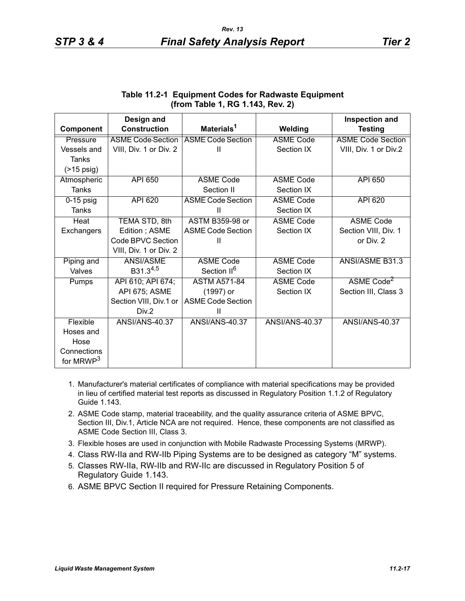|                       | Design and               |                          |                       | <b>Inspection and</b>    |
|-----------------------|--------------------------|--------------------------|-----------------------|--------------------------|
| Component             | <b>Construction</b>      | Materials <sup>1</sup>   | Welding               | <b>Testing</b>           |
| Pressure              | <b>ASME Code Section</b> | <b>ASME Code Section</b> | <b>ASME Code</b>      | <b>ASME Code Section</b> |
| Vessels and           | VIII, Div. 1 or Div. 2   | Ш                        | Section IX            | VIII, Div. 1 or Div.2    |
| Tanks                 |                          |                          |                       |                          |
| $($ >15 psig)         |                          |                          |                       |                          |
| Atmospheric           | <b>API 650</b>           | <b>ASME Code</b>         | <b>ASME Code</b>      | API 650                  |
| <b>Tanks</b>          |                          | Section II               | Section IX            |                          |
| $0-15$ psig           | API 620                  | <b>ASME Code Section</b> | <b>ASME Code</b>      | <b>API 620</b>           |
| <b>Tanks</b>          |                          | Ш                        | Section IX            |                          |
| Heat                  | TEMA STD, 8th            | <b>ASTM B359-98 or</b>   | <b>ASME Code</b>      | <b>ASME Code</b>         |
| Exchangers            | Edition; ASME            | <b>ASME Code Section</b> | Section IX            | Section VIII, Div. 1     |
|                       | Code BPVC Section        | Ш                        |                       | or Div. 2                |
|                       | VIII, Div. 1 or Div. 2   |                          |                       |                          |
| Piping and            | <b>ANSI/ASME</b>         | <b>ASME Code</b>         | <b>ASME Code</b>      | ANSI/ASME B31.3          |
| Valves                | B31.34,5                 | Section II <sup>6</sup>  | Section IX            |                          |
| Pumps                 | API 610; API 674;        | <b>ASTM A571-84</b>      | <b>ASME Code</b>      | ASME Code <sup>2</sup>   |
|                       | API 675; ASME            | (1997) or                | Section IX            | Section III, Class 3     |
|                       | Section VIII, Div.1 or   | <b>ASME Code Section</b> |                       |                          |
|                       | Div.2                    | Ш                        |                       |                          |
| Flexible              | <b>ANSI/ANS-40.37</b>    | <b>ANSI/ANS-40.37</b>    | <b>ANSI/ANS-40.37</b> | <b>ANSI/ANS-40.37</b>    |
| Hoses and             |                          |                          |                       |                          |
| Hose                  |                          |                          |                       |                          |
| Connections           |                          |                          |                       |                          |
| for MRWP <sup>3</sup> |                          |                          |                       |                          |

### **Table 11.2-1 Equipment Codes for Radwaste Equipment (from Table 1, RG 1.143, Rev. 2)**

- 1. Manufacturer's material certificates of compliance with material specifications may be provided in lieu of certified material test reports as discussed in Regulatory Position 1.1.2 of Regulatory Guide 1.143.
- 2. ASME Code stamp, material traceability, and the quality assurance criteria of ASME BPVC, Section III, Div.1, Article NCA are not required. Hence, these components are not classified as ASME Code Section III, Class 3.
- 3. Flexible hoses are used in conjunction with Mobile Radwaste Processing Systems (MRWP).
- 4. Class RW-IIa and RW-IIb Piping Systems are to be designed as category "M" systems.
- 5. Classes RW-IIa, RW-IIb and RW-IIc are discussed in Regulatory Position 5 of Regulatory Guide 1.143.
- 6. ASME BPVC Section II required for Pressure Retaining Components.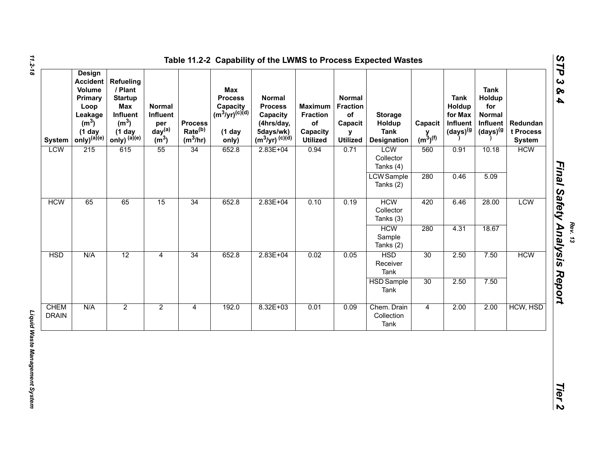| <b>System</b>               | <b>Design</b><br><b>Accident</b><br>Volume<br>Primary<br>Loop<br>Leakage<br>(m <sup>3</sup> )<br>(1 day<br>only) <sup>(a)(e)</sup> | <b>Refueling</b><br>/ Plant<br><b>Startup</b><br><b>Max</b><br>Influent<br>(m <sup>3</sup> )<br>$(1$ day<br>only) (a)(e) | <b>Normal</b><br>Influent<br>per<br>day <sup>(a)</sup><br>$\overline{m}^3$ | <b>Process</b><br>Rate <sup>(b)</sup><br>$(m^3/hr)$ | Max<br><b>Process</b><br>Capacity<br>(m <sup>3</sup> /yr) <sup>(c)(d)</sup><br>$(1$ day<br>only) | <b>Normal</b><br><b>Process</b><br>Capacity<br>(4hrs/day,<br>5days/wk)<br>$(m^3/yr)^{(c)(d)}$ | <b>Maximum</b><br><b>Fraction</b><br>of<br>Capacity<br><b>Utilized</b> | Normal<br><b>Fraction</b><br>$\mathsf{of}$<br>Capacit<br>v<br><b>Utilized</b> | <b>Storage</b><br>Holdup<br><b>Tank</b><br><b>Designation</b> | Capacit<br>$y$ <sub>(m<sup>3</sup>)<sup>(f)</sup></sub> | <b>Tank</b><br>Holdup<br>for Max<br>Influent<br>(days) <sup>(g</sup> | <b>Tank</b><br>Holdup<br>for<br><b>Normal</b><br>Influent<br>(days) <sup>(g</sup> | Redundan<br>t Process<br><b>System</b> |
|-----------------------------|------------------------------------------------------------------------------------------------------------------------------------|--------------------------------------------------------------------------------------------------------------------------|----------------------------------------------------------------------------|-----------------------------------------------------|--------------------------------------------------------------------------------------------------|-----------------------------------------------------------------------------------------------|------------------------------------------------------------------------|-------------------------------------------------------------------------------|---------------------------------------------------------------|---------------------------------------------------------|----------------------------------------------------------------------|-----------------------------------------------------------------------------------|----------------------------------------|
| <b>LCW</b>                  | 215                                                                                                                                | 615                                                                                                                      | 55                                                                         | 34                                                  | 652.8                                                                                            | $2.83E + 04$                                                                                  | 0.94                                                                   | 0.71                                                                          | <b>LCW</b><br>Collector<br>Tanks (4)                          | 560                                                     | 0.91                                                                 | 10.18                                                                             | <b>HCW</b>                             |
|                             |                                                                                                                                    |                                                                                                                          |                                                                            |                                                     |                                                                                                  |                                                                                               |                                                                        |                                                                               | <b>LCW</b> Sample<br>Tanks (2)                                | 280                                                     | 0.46                                                                 | 5.09                                                                              |                                        |
| <b>HCW</b>                  | 65                                                                                                                                 | 34<br>65<br>15                                                                                                           | 652.8                                                                      | $2.83E + 04$                                        | 0.10                                                                                             | 0.19                                                                                          | <b>HCM</b><br>Collector<br>Tanks (3)                                   | 420                                                                           | 6.46                                                          | 28.00                                                   | <b>LCW</b>                                                           |                                                                                   |                                        |
|                             |                                                                                                                                    |                                                                                                                          |                                                                            |                                                     |                                                                                                  |                                                                                               |                                                                        |                                                                               | <b>HCW</b><br>Sample<br>Tanks (2)                             | 280                                                     | 4.31                                                                 | 18.67                                                                             |                                        |
| <b>HSD</b>                  | N/A                                                                                                                                | 12                                                                                                                       | 4                                                                          | 34                                                  | 652.8                                                                                            | $2.83E + 04$                                                                                  | 0.02                                                                   | 0.05                                                                          | <b>HSD</b><br>Receiver<br>Tank                                | 30                                                      | 2.50                                                                 | 7.50                                                                              | <b>HCW</b>                             |
|                             |                                                                                                                                    |                                                                                                                          |                                                                            |                                                     |                                                                                                  |                                                                                               |                                                                        |                                                                               | <b>HSD</b> Sample<br>Tank                                     | 30                                                      | 2.50                                                                 | 7.50                                                                              |                                        |
| <b>CHEM</b><br><b>DRAIN</b> | N/A                                                                                                                                | $\overline{2}$                                                                                                           | $\overline{2}$                                                             | $\overline{4}$                                      | 192.0                                                                                            | $8.32E + 03$                                                                                  | 0.01                                                                   | 0.09                                                                          | Chem. Drain<br>Collection<br>Tank                             | $\overline{4}$                                          | 2.00                                                                 | 2.00                                                                              | HCW, HSD                               |

*11.2-18*

Liquid Waste Management System *Liquid Waste Management System* 

*Rev. 13*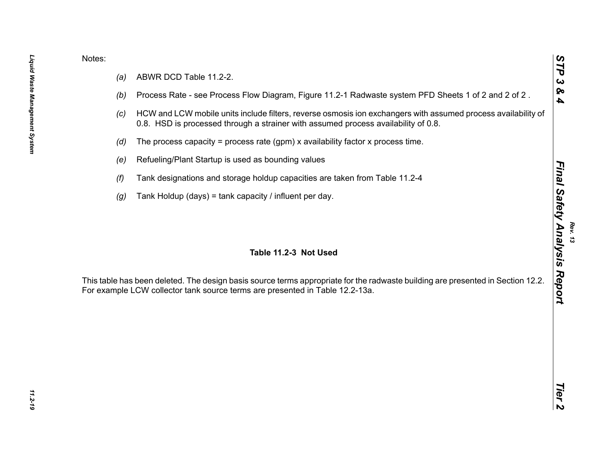- 
- 
- 
- 
- 
- 
- 

Notes:<br>
(a) ABWR DCD Table 11.2-2.<br>
(b) Process Rate - see Process Flow Diagram. Figure 11.2-1 Radwaste system PFD Sheets 1 of 2 and 2 of 2.<br>
(c) HCW and LCW mobile units include filters, reverse cornosis ion exchangers wi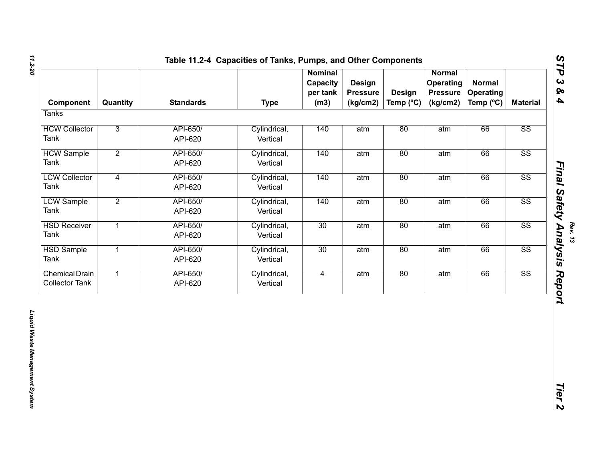| Quantity       | <b>Standards</b>    | <b>Type</b>              | <b>Nominal</b><br>Capacity<br>per tank<br>(m3) | <b>Design</b><br><b>Pressure</b><br>(kg/cm2) | <b>Design</b> | Normal<br>Operating<br><b>Pressure</b><br>(kg/cm2) | <b>Normal</b><br>Operating<br>Temp (°C) | <b>Material</b>        |
|----------------|---------------------|--------------------------|------------------------------------------------|----------------------------------------------|---------------|----------------------------------------------------|-----------------------------------------|------------------------|
|                |                     |                          |                                                |                                              |               |                                                    |                                         |                        |
| $\overline{3}$ | API-650/<br>API-620 | Cylindrical,<br>Vertical | 140                                            | atm                                          | 80            | atm                                                | 66                                      | SS                     |
| $\overline{2}$ | API-650/<br>API-620 | Cylindrical,<br>Vertical | 140                                            | atm                                          | 80            | atm                                                | 66                                      | $\overline{\text{SS}}$ |
| $\overline{4}$ | API-650/<br>API-620 | Cylindrical,<br>Vertical | 140                                            | atm                                          | 80            | atm                                                | 66                                      | $\overline{\text{SS}}$ |
| $\overline{2}$ | API-650/<br>API-620 | Cylindrical,<br>Vertical | 140                                            | atm                                          | 80            | atm                                                | 66                                      | $\overline{\text{SS}}$ |
| $\overline{1}$ | API-650/<br>API-620 | Cylindrical,<br>Vertical | 30                                             | atm                                          | 80            | atm                                                | 66                                      | $\overline{\text{SS}}$ |
| $\overline{1}$ | API-650/<br>API-620 | Cylindrical,<br>Vertical | 30                                             | atm                                          | 80            | atm                                                | 66                                      | $\overline{\text{SS}}$ |
| $\mathbf{1}$   | API-650/<br>API-620 | Cylindrical,<br>Vertical | $\overline{4}$                                 | atm                                          | 80            | atm                                                | 66                                      | $\overline{\text{SS}}$ |
|                |                     |                          |                                                |                                              |               |                                                    |                                         |                        |
|                |                     |                          |                                                |                                              |               |                                                    | Temp $(^{\circ}C)$                      |                        |

*11.2-20*

*Rev. 13*<br>Final Safety Analysis Report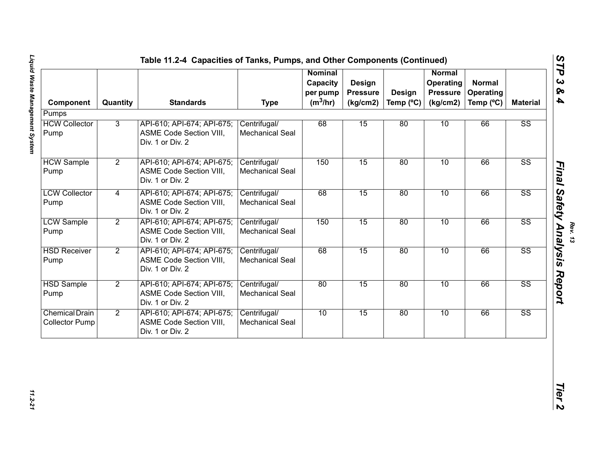| Component                                      | Quantity       | <b>Standards</b>                                                                 | <b>Type</b>                            | <b>Nominal</b><br>Capacity<br>per pump<br>$(m^3/hr)$ | <b>Design</b><br><b>Pressure</b><br>(kg/cm2) | Design<br>Temp (°C) | <b>Normal</b><br>Operating<br><b>Pressure</b><br>(kg/cm2) | <b>Normal</b><br>Operating<br>Temp (°C) | <b>Material</b>        |
|------------------------------------------------|----------------|----------------------------------------------------------------------------------|----------------------------------------|------------------------------------------------------|----------------------------------------------|---------------------|-----------------------------------------------------------|-----------------------------------------|------------------------|
| Pumps                                          |                |                                                                                  |                                        |                                                      |                                              |                     |                                                           |                                         |                        |
| <b>HCW Collector</b><br>Pump                   | $\overline{3}$ | API-610; API-674; API-675;<br>ASME Code Section VIII,<br>Div. 1 or Div. 2        | Centrifugal/<br><b>Mechanical Seal</b> | 68                                                   | 15                                           | 80                  | 10                                                        | 66                                      | $\overline{\text{SS}}$ |
| <b>HCW Sample</b><br>Pump                      | $\overline{2}$ | API-610; API-674; API-675;<br>ASME Code Section VIII,<br>Div. 1 or Div. 2        | Centrifugal/<br>Mechanical Seal        | 150                                                  | 15                                           | 80                  | 10                                                        | 66                                      | $\overline{\text{SS}}$ |
| <b>LCW Collector</b><br>Pump                   | 4              | API-610; API-674; API-675;<br>ASME Code Section VIII,<br>Div. 1 or Div. 2        | Centrifugal/<br><b>Mechanical Seal</b> | 68                                                   | 15                                           | 80                  | 10                                                        | 66                                      | $\overline{\text{SS}}$ |
| <b>LCW Sample</b><br>Pump                      | $\overline{2}$ | API-610; API-674; API-675;<br>ASME Code Section VIII,<br>Div. 1 or Div. 2        | Centrifugal/<br><b>Mechanical Seal</b> | 150                                                  | 15                                           | 80                  | 10                                                        | 66                                      | $\overline{\text{SS}}$ |
| <b>HSD Receiver</b><br>Pump                    | $\overline{2}$ | API-610; API-674; API-675;<br>ASME Code Section VIII,<br>Div. 1 or Div. 2        | Centrifugal/<br><b>Mechanical Seal</b> | 68                                                   | 15                                           | 80                  | 10                                                        | 66                                      | $\overline{\text{SS}}$ |
| <b>HSD Sample</b><br>Pump                      | $\overline{2}$ | API-610; API-674; API-675;<br><b>ASME Code Section VIII,</b><br>Div. 1 or Div. 2 | Centrifugal/<br><b>Mechanical Seal</b> | 80                                                   | 15                                           | 80                  | 10                                                        | 66                                      | $\overline{\text{SS}}$ |
| <b>Chemical Drain</b><br><b>Collector Pump</b> | $\overline{2}$ | API-610; API-674; API-675;<br>ASME Code Section VIII,<br>Div. 1 or Div. 2        | Centrifugal/<br><b>Mechanical Seal</b> | 10                                                   | 15                                           | 80                  | 10                                                        | 66                                      | $\overline{\text{SS}}$ |

*Rev. 13*

11.2-21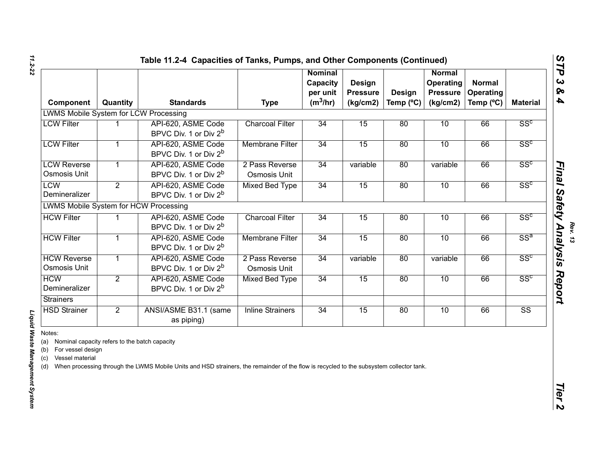| Component                                                                                                                | Quantity       | <b>Standards</b>                                                                                                                        | <b>Type</b>                    | <b>Nominal</b><br>Capacity<br>per unit<br>$(m^3/hr)$ | Design<br><b>Pressure</b><br>(kg/cm2) | Design<br>Temp (°C) | <b>Normal</b><br>Operating<br><b>Pressure</b><br>(kg/cm2) | <b>Normal</b><br>Operating<br>Temp (°C) | <b>Material</b>        |
|--------------------------------------------------------------------------------------------------------------------------|----------------|-----------------------------------------------------------------------------------------------------------------------------------------|--------------------------------|------------------------------------------------------|---------------------------------------|---------------------|-----------------------------------------------------------|-----------------------------------------|------------------------|
| <b>LWMS Mobile System for LCW Processing</b>                                                                             |                |                                                                                                                                         |                                |                                                      |                                       |                     |                                                           |                                         |                        |
| <b>LCW Filter</b>                                                                                                        |                | API-620, ASME Code<br>BPVC Div. 1 or Div 2 <sup>b</sup>                                                                                 | <b>Charcoal Filter</b>         | 34                                                   | 15                                    | 80                  | 10                                                        | 66                                      | SS <sup>c</sup>        |
| <b>LCW Filter</b>                                                                                                        |                | API-620, ASME Code<br>BPVC Div. 1 or Div 2 <sup>b</sup>                                                                                 | <b>Membrane Filter</b>         | 34                                                   | 15                                    | 80                  | 10                                                        | 66                                      | SS <sup>c</sup>        |
| <b>LCW Reverse</b><br>Osmosis Unit                                                                                       |                | API-620, ASME Code<br>BPVC Div. 1 or Div 2 <sup>b</sup>                                                                                 | 2 Pass Reverse<br>Osmosis Unit | 34                                                   | variable                              | 80                  | variable                                                  | 66                                      | SS <sup>c</sup>        |
| <b>LCW</b><br>Demineralizer                                                                                              | $\overline{2}$ | API-620, ASME Code<br>BPVC Div. 1 or Div 2 <sup>b</sup>                                                                                 | <b>Mixed Bed Type</b>          | 34                                                   | 15                                    | 80                  | 10                                                        | 66                                      | SS <sup>c</sup>        |
| <b>LWMS Mobile System for HCW Processing</b>                                                                             |                |                                                                                                                                         |                                |                                                      |                                       |                     |                                                           |                                         |                        |
| <b>HCW Filter</b>                                                                                                        | 1              | API-620, ASME Code<br>BPVC Div. 1 or Div 2 <sup>b</sup>                                                                                 | <b>Charcoal Filter</b>         | 34                                                   | 15                                    | 80                  | 10                                                        | 66                                      | SS <sup>c</sup>        |
| <b>HCW Filter</b>                                                                                                        | 1              | API-620, ASME Code<br>BPVC Div. 1 or Div 2 <sup>b</sup>                                                                                 | <b>Membrane Filter</b>         | 34                                                   | 15                                    | 80                  | 10                                                        | 66                                      | $SS^a$                 |
| <b>HCW Reverse</b><br>Osmosis Unit                                                                                       | 1              | API-620, ASME Code<br>BPVC Div. 1 or Div 2 <sup>b</sup>                                                                                 | 2 Pass Reverse<br>Osmosis Unit | 34                                                   | variable                              | 80                  | variable                                                  | 66                                      | SS <sup>c</sup>        |
| <b>HCW</b><br>Demineralizer                                                                                              | $\overline{2}$ | API-620, ASME Code<br>BPVC Div. 1 or Div 2 <sup>b</sup>                                                                                 | <b>Mixed Bed Type</b>          | 34                                                   | 15                                    | 80                  | 10                                                        | 66                                      | SS <sup>c</sup>        |
| <b>Strainers</b>                                                                                                         |                |                                                                                                                                         |                                |                                                      |                                       |                     |                                                           |                                         |                        |
| <b>HSD Strainer</b>                                                                                                      | $\overline{2}$ | ANSI/ASME B31.1 (same<br>as piping)                                                                                                     | <b>Inline Strainers</b>        | 34                                                   | 15                                    | 80                  | 10                                                        | 66                                      | $\overline{\text{SS}}$ |
| Notes:<br>(a) Nominal capacity refers to the batch capacity<br>For vessel design<br>(b)<br>Vessel material<br>(c)<br>(d) |                | When processing through the LWMS Mobile Units and HSD strainers, the remainder of the flow is recycled to the subsystem collector tank. |                                |                                                      |                                       |                     |                                                           |                                         |                        |

# Liquid Waste Management System

*Liquid Waste Management System* 

*Rev. 13*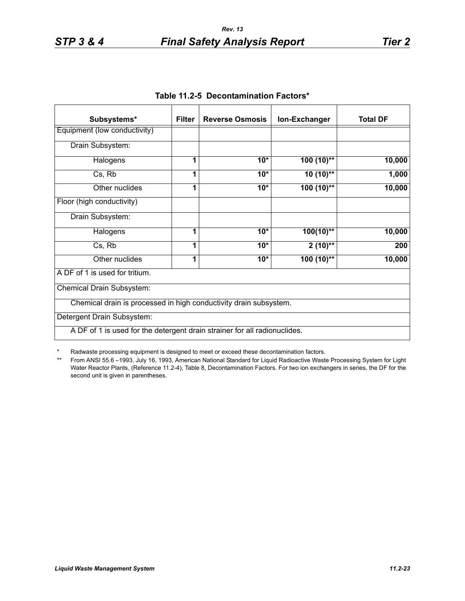| Subsystems*                                                               | <b>Filter</b> | <b>Reverse Osmosis</b> | Ion-Exchanger | <b>Total DF</b> |
|---------------------------------------------------------------------------|---------------|------------------------|---------------|-----------------|
| Equipment (low conductivity)                                              |               |                        |               |                 |
| Drain Subsystem:                                                          |               |                        |               |                 |
| Halogens                                                                  | 1             | $10*$                  | $100(10)$ **  | 10,000          |
| Cs, Rb                                                                    | 1             | $10*$                  | $10(10)$ **   | 1,000           |
| Other nuclides                                                            | 1             | $10*$                  | $100(10)$ **  | 10,000          |
| Floor (high conductivity)                                                 |               |                        |               |                 |
| Drain Subsystem:                                                          |               |                        |               |                 |
| Halogens                                                                  | 1             | $10*$                  | $100(10)*$    | 10,000          |
| Cs, Rb                                                                    | 1             | $10*$                  | $2(10)*$      | 200             |
| Other nuclides                                                            | 1             | $10*$                  | $100(10)$ **  | 10,000          |
| A DF of 1 is used for tritium.                                            |               |                        |               |                 |
| Chemical Drain Subsystem:                                                 |               |                        |               |                 |
| Chemical drain is processed in high conductivity drain subsystem.         |               |                        |               |                 |
| Detergent Drain Subsystem:                                                |               |                        |               |                 |
| A DF of 1 is used for the detergent drain strainer for all radionuclides. |               |                        |               |                 |

**Table 11.2-5 Decontamination Factors\***

\* Radwaste processing equipment is designed to meet or exceed these decontamination factors.

\*\* From ANSI 55.6 –1993, July 16, 1993, American National Standard for Liquid Radioactive Waste Processing System for Light Water Reactor Plants, (Reference 11.2-4), Table 8, Decontamination Factors. For two ion exchangers in series, the DF for the second unit is given in parentheses.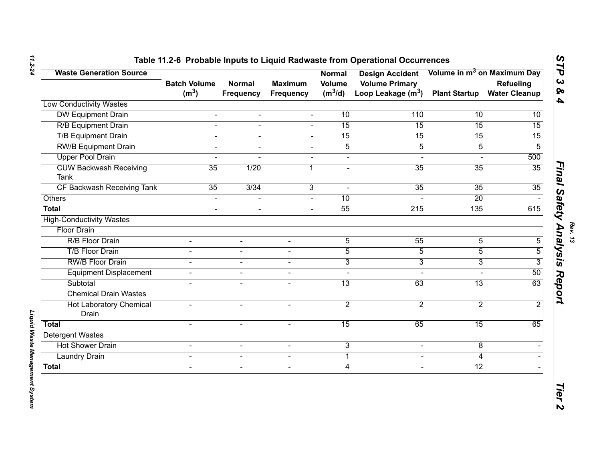| <b>Waste Generation Source</b>        |                                          |                            |                             | Normal              | Design Accident Volume in m <sup>3</sup> on Maximum Day               |                 |                                   |
|---------------------------------------|------------------------------------------|----------------------------|-----------------------------|---------------------|-----------------------------------------------------------------------|-----------------|-----------------------------------|
|                                       | <b>Batch Volume</b><br>(m <sup>3</sup> ) | <b>Normal</b><br>Frequency | <b>Maximum</b><br>Frequency | Volume<br>$(m^3/d)$ | <b>Volume Primary</b><br>Loop Leakage (m <sup>3</sup> ) Plant Startup |                 | Refueling<br><b>Water Cleanup</b> |
| <b>Low Conductivity Wastes</b>        |                                          |                            |                             |                     |                                                                       |                 |                                   |
| <b>DW Equipment Drain</b>             | $\blacksquare$                           | $\blacksquare$             | $\mathbf{r}$                | 10                  | 110                                                                   | 10              | 10                                |
| <b>R/B Equipment Drain</b>            |                                          |                            |                             | 15                  | 15                                                                    | 15              | 15                                |
| <b>T/B Equipment Drain</b>            | $\sim$                                   | $\sim$                     | $\sim$                      | 15                  | 15                                                                    | 15              | 15                                |
| <b>RW/B Equipment Drain</b>           | $\sim$                                   | $\sim$                     | $\sim$                      | $\overline{5}$      | $\overline{5}$                                                        | $\overline{5}$  | $\overline{5}$                    |
| <b>Upper Pool Drain</b>               | $\blacksquare$                           | $\blacksquare$             | $\blacksquare$              | $\Delta$            | $\mathbf{r}$                                                          | $\mathbf{r}$    | 500                               |
| <b>CUW Backwash Receiving</b><br>Tank | 35                                       | 1/20                       | 1                           |                     | 35                                                                    | 35              | 35                                |
| CF Backwash Receiving Tank            | 35                                       | 3/34                       | $\overline{3}$              |                     | 35                                                                    | 35              | 35                                |
| <b>Others</b>                         | $\blacksquare$                           | $\blacksquare$             | $\blacksquare$              | 10                  |                                                                       | $\overline{20}$ |                                   |
| Total                                 | $\sim$                                   | $\blacksquare$             | $\sim$                      | 55                  | 215                                                                   | 135             | 615                               |
| <b>High-Conductivity Wastes</b>       |                                          |                            |                             |                     |                                                                       |                 |                                   |
| <b>Floor Drain</b>                    |                                          |                            |                             |                     |                                                                       |                 |                                   |
| R/B Floor Drain                       | $\blacksquare$                           | $\blacksquare$             | $\overline{\phantom{a}}$    | 5                   | 55                                                                    | 5               | 5                                 |
| <b>T/B Floor Drain</b>                | $\overline{a}$                           | $\blacksquare$             | $\overline{a}$              | $\overline{5}$      | 5                                                                     | $\overline{5}$  | $\overline{5}$                    |
| <b>RW/B Floor Drain</b>               | $\blacksquare$                           | $\overline{\phantom{a}}$   | $\blacksquare$              | 3                   | 3                                                                     | 3               | 3                                 |
| <b>Equipment Displacement</b>         | $\blacksquare$                           | $\blacksquare$             | $\overline{a}$              |                     |                                                                       |                 | 50                                |
| Subtotal                              | $\blacksquare$                           | $\blacksquare$             | $\overline{a}$              | $\overline{13}$     | 63                                                                    | $\overline{13}$ | 63                                |
| <b>Chemical Drain Wastes</b>          |                                          |                            |                             |                     |                                                                       |                 |                                   |
| <b>Hot Laboratory Chemical</b>        | $\overline{a}$                           | $\sim$                     | $\overline{a}$              | $\overline{2}$      | $\overline{2}$                                                        | $\overline{2}$  | $\overline{2}$                    |
| Drain                                 |                                          |                            |                             |                     |                                                                       |                 |                                   |
| Total                                 | $\overline{a}$                           | $\blacksquare$             | $\overline{a}$              | $\overline{15}$     | 65                                                                    | 15              | 65                                |
| Detergent Wastes                      |                                          |                            |                             |                     |                                                                       |                 |                                   |
| <b>Hot Shower Drain</b>               | $\blacksquare$                           | $\blacksquare$             | $\blacksquare$              | 3                   | $\blacksquare$                                                        | $\overline{8}$  |                                   |
| <b>Laundry Drain</b>                  | $\blacksquare$                           | $\blacksquare$             | $\blacksquare$              | $\mathbf{1}$        | $\blacksquare$                                                        | 4               |                                   |
| Total                                 | $\blacksquare$                           | $\blacksquare$             | $\blacksquare$              | $\overline{4}$      | $\blacksquare$                                                        | 12              |                                   |